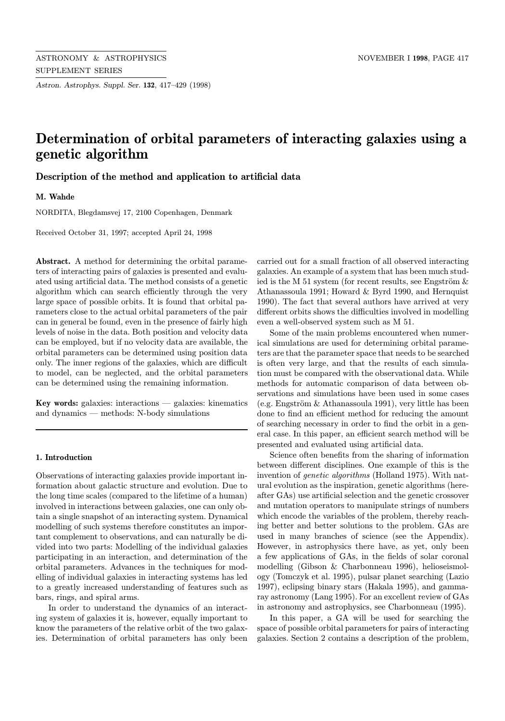Astron. Astrophys. Suppl. Ser. 132, 417–429 (1998)

# Determination of orbital parameters of interacting galaxies using a genetic algorithm

# Description of the method and application to artificial data

M. Wahde

NORDITA, Blegdamsvej 17, 2100 Copenhagen, Denmark

Received October 31, 1997; accepted April 24, 1998

Abstract. A method for determining the orbital parameters of interacting pairs of galaxies is presented and evaluated using artificial data. The method consists of a genetic algorithm which can search efficiently through the very large space of possible orbits. It is found that orbital parameters close to the actual orbital parameters of the pair can in general be found, even in the presence of fairly high levels of noise in the data. Both position and velocity data can be employed, but if no velocity data are available, the orbital parameters can be determined using position data only. The inner regions of the galaxies, which are difficult to model, can be neglected, and the orbital parameters can be determined using the remaining information.

Key words: galaxies: interactions — galaxies: kinematics and dynamics — methods: N-body simulations

#### 1. Introduction

Observations of interacting galaxies provide important information about galactic structure and evolution. Due to the long time scales (compared to the lifetime of a human) involved in interactions between galaxies, one can only obtain a single snapshot of an interacting system. Dynamical modelling of such systems therefore constitutes an important complement to observations, and can naturally be divided into two parts: Modelling of the individual galaxies participating in an interaction, and determination of the orbital parameters. Advances in the techniques for modelling of individual galaxies in interacting systems has led to a greatly increased understanding of features such as bars, rings, and spiral arms.

In order to understand the dynamics of an interacting system of galaxies it is, however, equally important to know the parameters of the relative orbit of the two galaxies. Determination of orbital parameters has only been

carried out for a small fraction of all observed interacting galaxies. An example of a system that has been much studied is the M 51 system (for recent results, see Engström  $\&$ Athanassoula 1991; Howard & Byrd 1990, and Hernquist 1990). The fact that several authors have arrived at very different orbits shows the difficulties involved in modelling even a well-observed system such as M 51.

Some of the main problems encountered when numerical simulations are used for determining orbital parameters are that the parameter space that needs to be searched is often very large, and that the results of each simulation must be compared with the observational data. While methods for automatic comparison of data between observations and simulations have been used in some cases (e.g. Engström  $&$  Athanassoula 1991), very little has been done to find an efficient method for reducing the amount of searching necessary in order to find the orbit in a general case. In this paper, an efficient search method will be presented and evaluated using artificial data.

Science often benefits from the sharing of information between different disciplines. One example of this is the invention of genetic algorithms (Holland 1975). With natural evolution as the inspiration, genetic algorithms (hereafter GAs) use artificial selection and the genetic crossover and mutation operators to manipulate strings of numbers which encode the variables of the problem, thereby reaching better and better solutions to the problem. GAs are used in many branches of science (see the Appendix). However, in astrophysics there have, as yet, only been a few applications of GAs, in the fields of solar coronal modelling (Gibson & Charbonneau 1996), helioseismology (Tomczyk et al. 1995), pulsar planet searching (Lazio 1997), eclipsing binary stars (Hakala 1995), and gammaray astronomy (Lang 1995). For an excellent review of GAs in astronomy and astrophysics, see Charbonneau (1995).

In this paper, a GA will be used for searching the space of possible orbital parameters for pairs of interacting galaxies. Section 2 contains a description of the problem,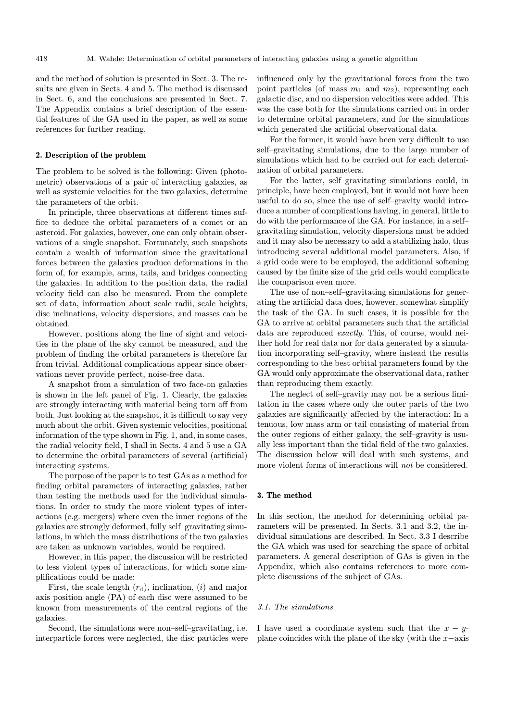and the method of solution is presented in Sect. 3. The results are given in Sects. 4 and 5. The method is discussed in Sect. 6, and the conclusions are presented in Sect. 7. The Appendix contains a brief description of the essential features of the GA used in the paper, as well as some references for further reading.

#### 2. Description of the problem

The problem to be solved is the following: Given (photometric) observations of a pair of interacting galaxies, as well as systemic velocities for the two galaxies, determine the parameters of the orbit.

In principle, three observations at different times suffice to deduce the orbital parameters of a comet or an asteroid. For galaxies, however, one can only obtain observations of a single snapshot. Fortunately, such snapshots contain a wealth of information since the gravitational forces between the galaxies produce deformations in the form of, for example, arms, tails, and bridges connecting the galaxies. In addition to the position data, the radial velocity field can also be measured. From the complete set of data, information about scale radii, scale heights, disc inclinations, velocity dispersions, and masses can be obtained.

However, positions along the line of sight and velocities in the plane of the sky cannot be measured, and the problem of finding the orbital parameters is therefore far from trivial. Additional complications appear since observations never provide perfect, noise-free data.

A snapshot from a simulation of two face-on galaxies is shown in the left panel of Fig. 1. Clearly, the galaxies are strongly interacting with material being torn off from both. Just looking at the snapshot, it is difficult to say very much about the orbit. Given systemic velocities, positional information of the type shown in Fig. 1, and, in some cases, the radial velocity field, I shall in Sects. 4 and 5 use a GA to determine the orbital parameters of several (artificial) interacting systems.

The purpose of the paper is to test GAs as a method for finding orbital parameters of interacting galaxies, rather than testing the methods used for the individual simulations. In order to study the more violent types of interactions (e.g. mergers) where even the inner regions of the galaxies are strongly deformed, fully self–gravitating simulations, in which the mass distributions of the two galaxies are taken as unknown variables, would be required.

However, in this paper, the discussion will be restricted to less violent types of interactions, for which some simplifications could be made:

First, the scale length  $(r_d)$ , inclination,  $(i)$  and major axis position angle (PA) of each disc were assumed to be known from measurements of the central regions of the galaxies.

Second, the simulations were non–self–gravitating, i.e. interparticle forces were neglected, the disc particles were

influenced only by the gravitational forces from the two point particles (of mass  $m_1$  and  $m_2$ ), representing each galactic disc, and no dispersion velocities were added. This was the case both for the simulations carried out in order to determine orbital parameters, and for the simulations which generated the artificial observational data.

For the former, it would have been very difficult to use self–gravitating simulations, due to the large number of simulations which had to be carried out for each determination of orbital parameters.

For the latter, self–gravitating simulations could, in principle, have been employed, but it would not have been useful to do so, since the use of self–gravity would introduce a number of complications having, in general, little to do with the performance of the GA. For instance, in a self– gravitating simulation, velocity dispersions must be added and it may also be necessary to add a stabilizing halo, thus introducing several additional model parameters. Also, if a grid code were to be employed, the additional softening caused by the finite size of the grid cells would complicate the comparison even more.

The use of non–self–gravitating simulations for generating the artificial data does, however, somewhat simplify the task of the GA. In such cases, it is possible for the GA to arrive at orbital parameters such that the artificial data are reproduced exactly. This, of course, would neither hold for real data nor for data generated by a simulation incorporating self–gravity, where instead the results corresponding to the best orbital parameters found by the GA would only approximate the observational data, rather than reproducing them exactly.

The neglect of self–gravity may not be a serious limitation in the cases where only the outer parts of the two galaxies are significantly affected by the interaction: In a tenuous, low mass arm or tail consisting of material from the outer regions of either galaxy, the self–gravity is usually less important than the tidal field of the two galaxies. The discussion below will deal with such systems, and more violent forms of interactions will not be considered.

#### 3. The method

In this section, the method for determining orbital parameters will be presented. In Sects. 3.1 and 3.2, the individual simulations are described. In Sect. 3.3 I describe the GA which was used for searching the space of orbital parameters. A general description of GAs is given in the Appendix, which also contains references to more complete discussions of the subject of GAs.

#### 3.1. The simulations

I have used a coordinate system such that the  $x - y$ plane coincides with the plane of the sky (with the  $x$ −axis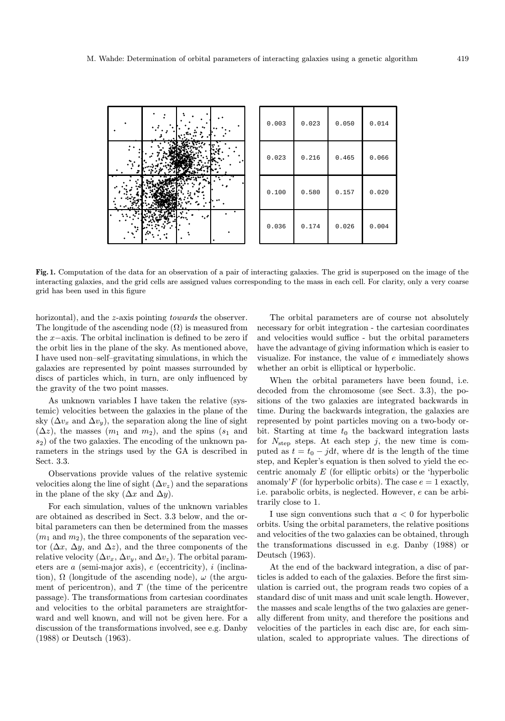

Fig. 1. Computation of the data for an observation of a pair of interacting galaxies. The grid is superposed on the image of the interacting galaxies, and the grid cells are assigned values corresponding to the mass in each cell. For clarity, only a very coarse grid has been used in this figure

horizontal), and the z-axis pointing towards the observer. The longitude of the ascending node  $(\Omega)$  is measured from the x−axis. The orbital inclination is defined to be zero if the orbit lies in the plane of the sky. As mentioned above, I have used non–self–gravitating simulations, in which the galaxies are represented by point masses surrounded by discs of particles which, in turn, are only influenced by the gravity of the two point masses.

As unknown variables I have taken the relative (systemic) velocities between the galaxies in the plane of the sky ( $\Delta v_x$  and  $\Delta v_y$ ), the separation along the line of sight  $(\Delta z)$ , the masses  $(m_1 \text{ and } m_2)$ , and the spins  $(s_1 \text{ and } s_2)$  $s<sub>2</sub>$ ) of the two galaxies. The encoding of the unknown parameters in the strings used by the GA is described in Sect. 3.3.

Observations provide values of the relative systemic velocities along the line of sight  $(\Delta v_z)$  and the separations in the plane of the sky  $(\Delta x$  and  $\Delta y)$ .

For each simulation, values of the unknown variables are obtained as described in Sect. 3.3 below, and the orbital parameters can then be determined from the masses  $(m_1 \text{ and } m_2)$ , the three components of the separation vector  $(\Delta x, \Delta y, \text{ and } \Delta z)$ , and the three components of the relative velocity  $(\Delta v_x, \Delta v_y, \text{ and } \Delta v_z)$ . The orbital parameters are  $a$  (semi-major axis),  $e$  (eccentricity),  $i$  (inclination),  $\Omega$  (longitude of the ascending node),  $\omega$  (the argument of pericentron), and  $T$  (the time of the pericentre passage). The transformations from cartesian coordinates and velocities to the orbital parameters are straightforward and well known, and will not be given here. For a discussion of the transformations involved, see e.g. Danby (1988) or Deutsch (1963).

The orbital parameters are of course not absolutely necessary for orbit integration - the cartesian coordinates and velocities would suffice - but the orbital parameters have the advantage of giving information which is easier to visualize. For instance, the value of e immediately shows whether an orbit is elliptical or hyperbolic.

When the orbital parameters have been found, i.e. decoded from the chromosome (see Sect. 3.3), the positions of the two galaxies are integrated backwards in time. During the backwards integration, the galaxies are represented by point particles moving on a two-body orbit. Starting at time  $t_0$  the backward integration lasts for  $N_{\text{step}}$  steps. At each step j, the new time is computed as  $t = t_0 - j dt$ , where dt is the length of the time step, and Kepler's equation is then solved to yield the eccentric anomaly E (for elliptic orbits) or the 'hyperbolic anomaly'F (for hyperbolic orbits). The case  $e = 1$  exactly, i.e. parabolic orbits, is neglected. However, e can be arbitrarily close to 1.

I use sign conventions such that  $a < 0$  for hyperbolic orbits. Using the orbital parameters, the relative positions and velocities of the two galaxies can be obtained, through the transformations discussed in e.g. Danby (1988) or Deutsch (1963).

At the end of the backward integration, a disc of particles is added to each of the galaxies. Before the first simulation is carried out, the program reads two copies of a standard disc of unit mass and unit scale length. However, the masses and scale lengths of the two galaxies are generally different from unity, and therefore the positions and velocities of the particles in each disc are, for each simulation, scaled to appropriate values. The directions of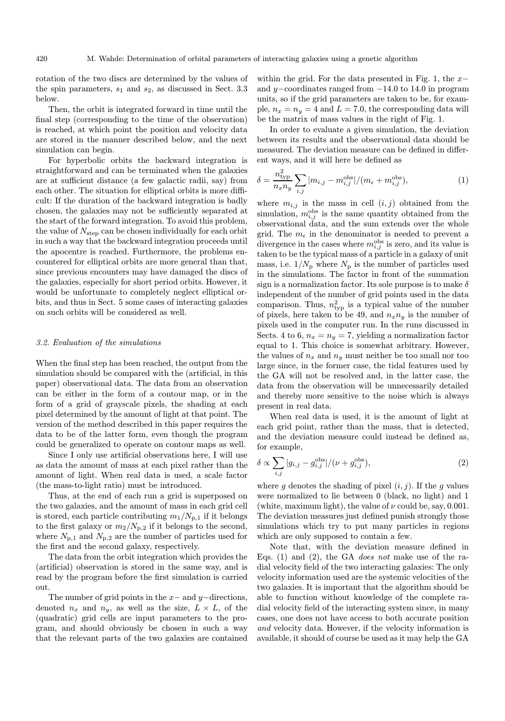rotation of the two discs are determined by the values of the spin parameters,  $s_1$  and  $s_2$ , as discussed in Sect. 3.3 below.

Then, the orbit is integrated forward in time until the final step (corresponding to the time of the observation) is reached, at which point the position and velocity data are stored in the manner described below, and the next simulation can begin.

For hyperbolic orbits the backward integration is straightforward and can be terminated when the galaxies are at sufficient distance (a few galactic radii, say) from each other. The situation for elliptical orbits is more difficult: If the duration of the backward integration is badly chosen, the galaxies may not be sufficiently separated at the start of the forward integration. To avoid this problem, the value of  $N_{\text{step}}$  can be chosen individually for each orbit in such a way that the backward integration proceeds until the apocentre is reached. Furthermore, the problems encountered for elliptical orbits are more general than that, since previous encounters may have damaged the discs of the galaxies, especially for short period orbits. However, it would be unfortunate to completely neglect elliptical orbits, and thus in Sect. 5 some cases of interacting galaxies on such orbits will be considered as well.

#### 3.2. Evaluation of the simulations

When the final step has been reached, the output from the simulation should be compared with the (artificial, in this paper) observational data. The data from an observation can be either in the form of a contour map, or in the form of a grid of grayscale pixels, the shading at each pixel determined by the amount of light at that point. The version of the method described in this paper requires the data to be of the latter form, even though the program could be generalized to operate on contour maps as well.

Since I only use artificial observations here, I will use as data the amount of mass at each pixel rather than the amount of light. When real data is used, a scale factor (the mass-to-light ratio) must be introduced.

Thus, at the end of each run a grid is superposed on the two galaxies, and the amount of mass in each grid cell is stored, each particle contributing  $m_1/N_{p,1}$  if it belongs to the first galaxy or  $m_2/N_{\rm p,2}$  if it belongs to the second, where  $N_{p,1}$  and  $N_{p,2}$  are the number of particles used for the first and the second galaxy, respectively.

The data from the orbit integration which provides the (artificial) observation is stored in the same way, and is read by the program before the first simulation is carried out.

The number of grid points in the  $x-$  and  $y-$ directions, denoted  $n_x$  and  $n_y$ , as well as the size,  $L \times L$ , of the (quadratic) grid cells are input parameters to the program, and should obviously be chosen in such a way that the relevant parts of the two galaxies are contained within the grid. For the data presented in Fig. 1, the  $x$ and y−coordinates ranged from −14.0 to 14.0 in program units, so if the grid parameters are taken to be, for example,  $n_x = n_y = 4$  and  $L = 7.0$ , the corresponding data will be the matrix of mass values in the right of Fig. 1.

In order to evaluate a given simulation, the deviation between its results and the observational data should be measured. The deviation measure can be defined in different ways, and it will here be defined as

$$
\delta = \frac{n_{\rm typ}^2}{n_x n_y} \sum_{i,j} |m_{i,j} - m_{i,j}^{\rm obs}| / (m_{\epsilon} + m_{i,j}^{\rm obs}), \tag{1}
$$

where  $m_{i,j}$  is the mass in cell  $(i, j)$  obtained from the simulation,  $m_{i,j}^{\text{obs}}$  is the same quantity obtained from the observational data, and the sum extends over the whole grid. The  $m_{\epsilon}$  in the denominator is needed to prevent a divergence in the cases where  $m_{i,j}^{\text{obs}}$  is zero, and its value is taken to be the typical mass of a particle in a galaxy of unit mass, i.e.  $1/N_p$  where  $N_p$  is the number of particles used in the simulations. The factor in front of the summation sign is a normalization factor. Its sole purpose is to make  $\delta$ independent of the number of grid points used in the data comparison. Thus,  $n_{\text{typ}}^2$  is a typical value of the number of pixels, here taken to be 49, and  $n_x n_y$  is the number of pixels used in the computer run. In the runs discussed in Sects. 4 to 6,  $n_x = n_y = 7$ , yielding a normalization factor equal to 1. This choice is somewhat arbitrary. However, the values of  $n_x$  and  $n_y$  must neither be too small nor too large since, in the former case, the tidal features used by the GA will not be resolved and, in the latter case, the data from the observation will be unnecessarily detailed and thereby more sensitive to the noise which is always present in real data.

When real data is used, it is the amount of light at each grid point, rather than the mass, that is detected, and the deviation measure could instead be defined as, for example,

$$
\delta \propto \sum_{i,j} |g_{i,j} - g_{i,j}^{\text{obs}}| / (\nu + g_{i,j}^{\text{obs}}),
$$
\n(2)

where g denotes the shading of pixel  $(i, j)$ . If the g values were normalized to lie between 0 (black, no light) and 1 (white, maximum light), the value of  $\nu$  could be, say, 0.001. The deviation measures just defined punish strongly those simulations which try to put many particles in regions which are only supposed to contain a few.

Note that, with the deviation measure defined in Eqs. (1) and (2), the GA does not make use of the radial velocity field of the two interacting galaxies: The only velocity information used are the systemic velocities of the two galaxies. It is important that the algorithm should be able to function without knowledge of the complete radial velocity field of the interacting system since, in many cases, one does not have access to both accurate position and velocity data. However, if the velocity information is available, it should of course be used as it may help the GA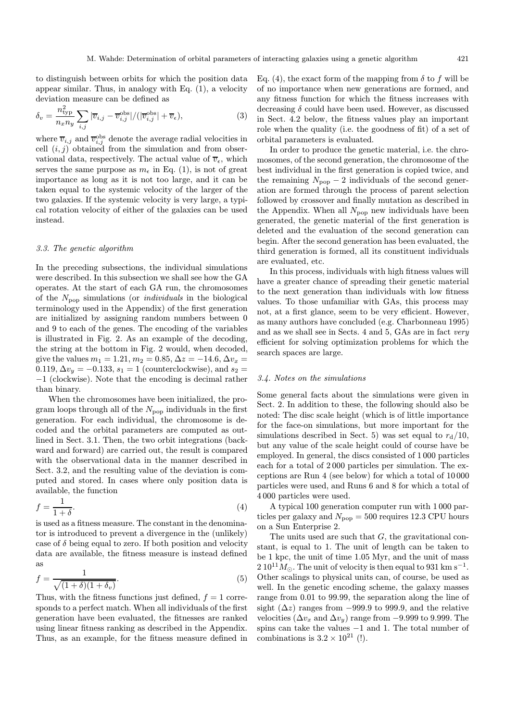to distinguish between orbits for which the position data appear similar. Thus, in analogy with Eq. (1), a velocity deviation measure can be defined as

$$
\delta_v = \frac{n_{\text{typ}}^2}{n_x n_y} \sum_{i,j} |\overline{v}_{i,j} - \overline{v}_{i,j}^{\text{obs}}| / (|\overline{v}_{i,j}^{\text{obs}}| + \overline{v}_{\epsilon}), \tag{3}
$$

where  $\overline{v}_{i,j}$  and  $\overline{v}_{i,j}^{\text{obs}}$  denote the average radial velocities in cell  $(i, j)$  obtained from the simulation and from observational data, respectively. The actual value of  $\overline{v}_{\epsilon}$ , which serves the same purpose as  $m_{\epsilon}$  in Eq. (1), is not of great importance as long as it is not too large, and it can be taken equal to the systemic velocity of the larger of the two galaxies. If the systemic velocity is very large, a typical rotation velocity of either of the galaxies can be used instead.

# 3.3. The genetic algorithm

In the preceding subsections, the individual simulations were described. In this subsection we shall see how the GA operates. At the start of each GA run, the chromosomes of the  $N_{\text{pop}}$  simulations (or *individuals* in the biological terminology used in the Appendix) of the first generation are initialized by assigning random numbers between 0 and 9 to each of the genes. The encoding of the variables is illustrated in Fig. 2. As an example of the decoding, the string at the bottom in Fig. 2 would, when decoded, give the values  $m_1 = 1.21, m_2 = 0.85, \Delta z = -14.6, \Delta v_x =$ 0.119,  $\Delta v_y = -0.133$ ,  $s_1 = 1$  (counterclockwise), and  $s_2 =$ −1 (clockwise). Note that the encoding is decimal rather than binary.

When the chromosomes have been initialized, the program loops through all of the  $N_{\text{pop}}$  individuals in the first generation. For each individual, the chromosome is decoded and the orbital parameters are computed as outlined in Sect. 3.1. Then, the two orbit integrations (backward and forward) are carried out, the result is compared with the observational data in the manner described in Sect. 3.2, and the resulting value of the deviation is computed and stored. In cases where only position data is available, the function

$$
f = \frac{1}{1+\delta}.\tag{4}
$$

is used as a fitness measure. The constant in the denominator is introduced to prevent a divergence in the (unlikely) case of  $\delta$  being equal to zero. If both position and velocity data are available, the fitness measure is instead defined as

$$
f = \frac{1}{\sqrt{(1+\delta)(1+\delta_v)}}.\tag{5}
$$

Thus, with the fitness functions just defined,  $f = 1$  corresponds to a perfect match. When all individuals of the first generation have been evaluated, the fitnesses are ranked using linear fitness ranking as described in the Appendix. Thus, as an example, for the fitness measure defined in Eq. (4), the exact form of the mapping from  $\delta$  to f will be of no importance when new generations are formed, and any fitness function for which the fitness increases with decreasing  $\delta$  could have been used. However, as discussed in Sect. 4.2 below, the fitness values play an important role when the quality (i.e. the goodness of fit) of a set of orbital parameters is evaluated.

In order to produce the genetic material, i.e. the chromosomes, of the second generation, the chromosome of the best individual in the first generation is copied twice, and the remaining  $N_{\text{pop}} - 2$  individuals of the second generation are formed through the process of parent selection followed by crossover and finally mutation as described in the Appendix. When all  $N_{\text{pop}}$  new individuals have been generated, the genetic material of the first generation is deleted and the evaluation of the second generation can begin. After the second generation has been evaluated, the third generation is formed, all its constituent individuals are evaluated, etc.

In this process, individuals with high fitness values will have a greater chance of spreading their genetic material to the next generation than individuals with low fitness values. To those unfamiliar with GAs, this process may not, at a first glance, seem to be very efficient. However, as many authors have concluded (e.g. Charbonneau 1995) and as we shall see in Sects. 4 and 5, GAs are in fact very efficient for solving optimization problems for which the search spaces are large.

# 3.4. Notes on the simulations

Some general facts about the simulations were given in Sect. 2. In addition to these, the following should also be noted: The disc scale height (which is of little importance for the face-on simulations, but more important for the simulations described in Sect. 5) was set equal to  $r_d/10$ , but any value of the scale height could of course have be employed. In general, the discs consisted of 1 000 particles each for a total of 2 000 particles per simulation. The exceptions are Run 4 (see below) for which a total of 10 000 particles were used, and Runs 6 and 8 for which a total of 4 000 particles were used.

A typical 100 generation computer run with 1 000 particles per galaxy and  $N_{\text{pop}} = 500$  requires 12.3 CPU hours on a Sun Enterprise 2.

The units used are such that G, the gravitational constant, is equal to 1. The unit of length can be taken to be 1 kpc, the unit of time 1.05 Myr, and the unit of mass  $2.10^{11} M_{\odot}$ . The unit of velocity is then equal to 931 km s<sup>-1</sup>. Other scalings to physical units can, of course, be used as well. In the genetic encoding scheme, the galaxy masses range from 0.01 to 99.99, the separation along the line of sight  $(\Delta z)$  ranges from −999.9 to 999.9, and the relative velocities ( $\Delta v_x$  and  $\Delta v_y$ ) range from -9.999 to 9.999. The spins can take the values −1 and 1. The total number of combinations is  $3.2 \times 10^{21}$  (!).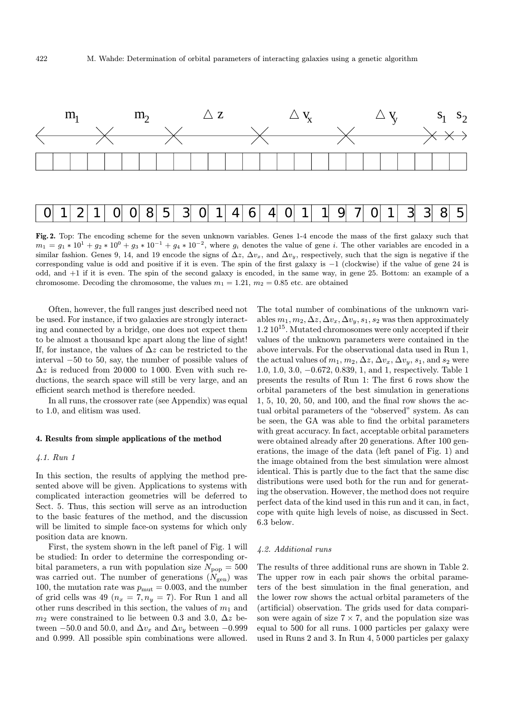

Fig. 2. Top: The encoding scheme for the seven unknown variables. Genes 1-4 encode the mass of the first galaxy such that  $m_1 = g_1 * 10^1 + g_2 * 10^0 + g_3 * 10^{-1} + g_4 * 10^{-2}$ , where  $g_i$  denotes the value of gene i. The other variables are encoded in a similar fashion. Genes 9, 14, and 19 encode the signs of  $\Delta z$ ,  $\Delta v_x$ , and  $\Delta v_y$ , respectively, such that the sign is negative if the corresponding value is odd and positive if it is even. The spin of the first galaxy is −1 (clockwise) if the value of gene 24 is odd, and +1 if it is even. The spin of the second galaxy is encoded, in the same way, in gene 25. Bottom: an example of a chromosome. Decoding the chromosome, the values  $m_1 = 1.21$ ,  $m_2 = 0.85$  etc. are obtained

Often, however, the full ranges just described need not be used. For instance, if two galaxies are strongly interacting and connected by a bridge, one does not expect them to be almost a thousand kpc apart along the line of sight! If, for instance, the values of  $\Delta z$  can be restricted to the interval −50 to 50, say, the number of possible values of  $\Delta z$  is reduced from 20000 to 1000. Even with such reductions, the search space will still be very large, and an efficient search method is therefore needed.

In all runs, the crossover rate (see Appendix) was equal to 1.0, and elitism was used.

# 4. Results from simple applications of the method

#### 4.1. Run 1

In this section, the results of applying the method presented above will be given. Applications to systems with complicated interaction geometries will be deferred to Sect. 5. Thus, this section will serve as an introduction to the basic features of the method, and the discussion will be limited to simple face-on systems for which only position data are known.

First, the system shown in the left panel of Fig. 1 will be studied: In order to determine the corresponding orbital parameters, a run with population size  $N_{\text{pop}} = 500$ was carried out. The number of generations  $(N_{gen})$  was 100, the mutation rate was  $p_{\text{mut}} = 0.003$ , and the number of grid cells was 49 ( $n_x = 7, n_y = 7$ ). For Run 1 and all other runs described in this section, the values of  $m_1$  and  $m_2$  were constrained to lie between 0.3 and 3.0,  $\Delta z$  between −50.0 and 50.0, and  $\Delta v_x$  and  $\Delta v_y$  between −0.999 and 0.999. All possible spin combinations were allowed.

The total number of combinations of the unknown variables  $m_1, m_2, \Delta z, \Delta v_x, \Delta v_y, s_1, s_2$  was then approximately  $1.2 \times 10^{15}$ . Mutated chromosomes were only accepted if their values of the unknown parameters were contained in the above intervals. For the observational data used in Run 1, the actual values of  $m_1, m_2, \Delta z, \Delta v_x, \Delta v_y, s_1$ , and  $s_2$  were 1.0, 1.0, 3.0, −0.672, 0.839, 1, and 1, respectively. Table 1 presents the results of Run 1: The first 6 rows show the orbital parameters of the best simulation in generations 1, 5, 10, 20, 50, and 100, and the final row shows the actual orbital parameters of the "observed" system. As can be seen, the GA was able to find the orbital parameters with great accuracy. In fact, acceptable orbital parameters were obtained already after 20 generations. After 100 generations, the image of the data (left panel of Fig. 1) and the image obtained from the best simulation were almost identical. This is partly due to the fact that the same disc distributions were used both for the run and for generating the observation. However, the method does not require perfect data of the kind used in this run and it can, in fact, cope with quite high levels of noise, as discussed in Sect. 6.3 below.

# 4.2. Additional runs

The results of three additional runs are shown in Table 2. The upper row in each pair shows the orbital parameters of the best simulation in the final generation, and the lower row shows the actual orbital parameters of the (artificial) observation. The grids used for data comparison were again of size  $7 \times 7$ , and the population size was equal to 500 for all runs. 1 000 particles per galaxy were used in Runs 2 and 3. In Run 4, 5 000 particles per galaxy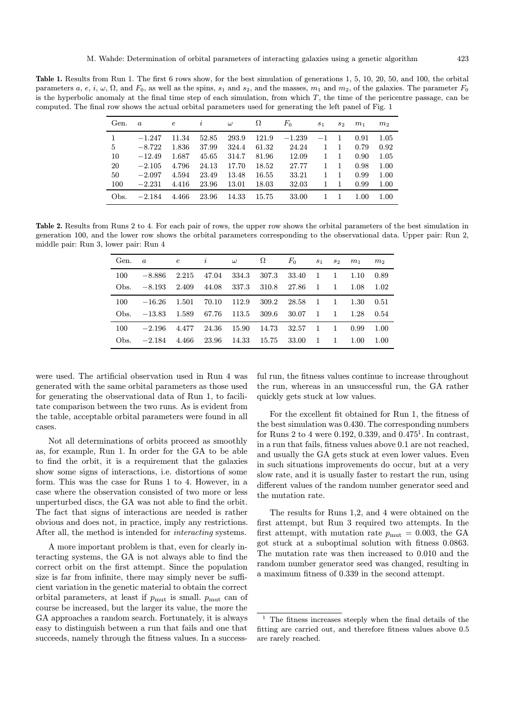Table 1. Results from Run 1. The first 6 rows show, for the best simulation of generations 1, 5, 10, 20, 50, and 100, the orbital parameters a, e, i,  $\omega$ ,  $\Omega$ , and  $F_0$ , as well as the spins,  $s_1$  and  $s_2$ , and the masses,  $m_1$  and  $m_2$ , of the galaxies. The parameter  $F_0$ is the hyperbolic anomaly at the final time step of each simulation, from which  $T$ , the time of the pericentre passage, can be computed. The final row shows the actual orbital parameters used for generating the left panel of Fig. 1

| Gen. | $\boldsymbol{a}$ | $\epsilon$ | i     | $\omega$ | Ω     | $F_{0}$  | $s_1$ | $s_2$ | m <sub>1</sub> | m <sub>2</sub> |
|------|------------------|------------|-------|----------|-------|----------|-------|-------|----------------|----------------|
|      | $-1.247$         | 11.34      | 52.85 | 293.9    | 121.9 | $-1.239$ | $-1$  | 1     | 0.91           | 1.05           |
| 5    | $-8.722$         | 1.836      | 37.99 | 324.4    | 61.32 | 24.24    | 1     | 1     | 0.79           | 0.92           |
| 10   | $-12.49$         | 1.687      | 45.65 | 314.7    | 81.96 | 12.09    | 1     | 1     | 0.90           | 1.05           |
| 20   | $-2.105$         | 4.796      | 24.13 | 17.70    | 18.52 | 27.77    | 1     | 1     | 0.98           | 1.00           |
| 50   | $-2.097$         | 4.594      | 23.49 | 13.48    | 16.55 | 33.21    | 1     | 1     | 0.99           | 1.00           |
| 100  | $-2.231$         | 4.416      | 23.96 | 13.01    | 18.03 | 32.03    | 1     | 1     | 0.99           | 1.00           |
| Obs. | $-2.184$         | 4.466      | 23.96 | 14.33    | 15.75 | 33.00    |       |       | 1.00           | 1.00           |

Table 2. Results from Runs 2 to 4. For each pair of rows, the upper row shows the orbital parameters of the best simulation in generation 100, and the lower row shows the orbital parameters corresponding to the observational data. Upper pair: Run 2, middle pair: Run 3, lower pair: Run 4

| Gen. | $\alpha$ | $\epsilon$ | i     | $\omega$ | Ω     | $F_0$ | S <sub>1</sub> | $S_{2}$        | m <sub>1</sub> | m <sub>2</sub> |
|------|----------|------------|-------|----------|-------|-------|----------------|----------------|----------------|----------------|
| 100  | $-8.886$ | 2.215      | 47.04 | 334.3    | 307.3 | 33.40 | 1              |                | 1.10           | 0.89           |
| Obs. | $-8.193$ | 2.409      | 44.08 | 337.3    | 310.8 | 27.86 | $\overline{1}$ | -1             | 1.08           | 1.02           |
| 100  | $-16.26$ | 1.501      | 70.10 | 112.9    | 309.2 | 28.58 | $\mathbf{1}$   | $\overline{1}$ | 1.30           | 0.51           |
| Obs. | $-13.83$ | 1.589      | 67.76 | 113.5    | 309.6 | 30.07 | -1             | -1             | 1.28           | 0.54           |
| 100  | $-2.196$ | 4.477      | 24.36 | 15.90    | 14.73 | 32.57 | $\mathbf{1}$   | $\overline{1}$ | 0.99           | 1.00           |
| Obs. | $-2.184$ | 4.466      | 23.96 | 14.33    | 15.75 | 33.00 | 1              | -1             | 1.00           | 1.00           |

were used. The artificial observation used in Run 4 was generated with the same orbital parameters as those used for generating the observational data of Run 1, to facilitate comparison between the two runs. As is evident from the table, acceptable orbital parameters were found in all cases.

Not all determinations of orbits proceed as smoothly as, for example, Run 1. In order for the GA to be able to find the orbit, it is a requirement that the galaxies show some signs of interactions, i.e. distortions of some form. This was the case for Runs 1 to 4. However, in a case where the observation consisted of two more or less unperturbed discs, the GA was not able to find the orbit. The fact that signs of interactions are needed is rather obvious and does not, in practice, imply any restrictions. After all, the method is intended for interacting systems.

A more important problem is that, even for clearly interacting systems, the GA is not always able to find the correct orbit on the first attempt. Since the population size is far from infinite, there may simply never be sufficient variation in the genetic material to obtain the correct orbital parameters, at least if  $p_{\text{mut}}$  is small.  $p_{\text{mut}}$  can of course be increased, but the larger its value, the more the GA approaches a random search. Fortunately, it is always easy to distinguish between a run that fails and one that succeeds, namely through the fitness values. In a successful run, the fitness values continue to increase throughout the run, whereas in an unsuccessful run, the GA rather quickly gets stuck at low values.

For the excellent fit obtained for Run 1, the fitness of the best simulation was 0.430. The corresponding numbers for Runs 2 to 4 were 0.192, 0.339, and  $0.475<sup>1</sup>$ . In contrast, in a run that fails, fitness values above 0.1 are not reached, and usually the GA gets stuck at even lower values. Even in such situations improvements do occur, but at a very slow rate, and it is usually faster to restart the run, using different values of the random number generator seed and the mutation rate.

The results for Runs 1,2, and 4 were obtained on the first attempt, but Run 3 required two attempts. In the first attempt, with mutation rate  $p_{\text{mut}} = 0.003$ , the GA got stuck at a suboptimal solution with fitness 0.0863. The mutation rate was then increased to 0.010 and the random number generator seed was changed, resulting in a maximum fitness of 0.339 in the second attempt.

 $<sup>1</sup>$  The fitness increases steeply when the final details of the</sup> fitting are carried out, and therefore fitness values above 0.5 are rarely reached.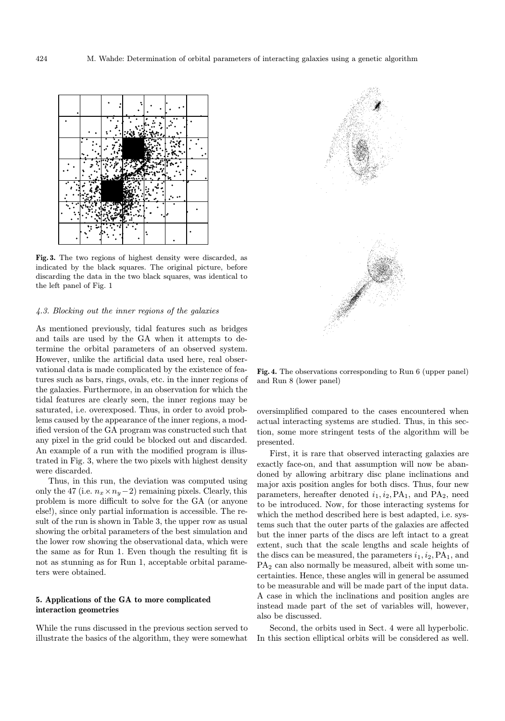

Fig. 3. The two regions of highest density were discarded, as indicated by the black squares. The original picture, before discarding the data in the two black squares, was identical to the left panel of Fig. 1

# 4.3. Blocking out the inner regions of the galaxies

As mentioned previously, tidal features such as bridges and tails are used by the GA when it attempts to determine the orbital parameters of an observed system. However, unlike the artificial data used here, real observational data is made complicated by the existence of features such as bars, rings, ovals, etc. in the inner regions of the galaxies. Furthermore, in an observation for which the tidal features are clearly seen, the inner regions may be saturated, i.e. overexposed. Thus, in order to avoid problems caused by the appearance of the inner regions, a modified version of the GA program was constructed such that any pixel in the grid could be blocked out and discarded. An example of a run with the modified program is illustrated in Fig. 3, where the two pixels with highest density were discarded.

Thus, in this run, the deviation was computed using only the 47 (i.e.  $n_x \times n_y - 2$ ) remaining pixels. Clearly, this problem is more difficult to solve for the GA (or anyone else!), since only partial information is accessible. The result of the run is shown in Table 3, the upper row as usual showing the orbital parameters of the best simulation and the lower row showing the observational data, which were the same as for Run 1. Even though the resulting fit is not as stunning as for Run 1, acceptable orbital parameters were obtained.

# 5. Applications of the GA to more complicated interaction geometries

While the runs discussed in the previous section served to illustrate the basics of the algorithm, they were somewhat



Fig. 4. The observations corresponding to Run 6 (upper panel) and Run 8 (lower panel)

oversimplified compared to the cases encountered when actual interacting systems are studied. Thus, in this section, some more stringent tests of the algorithm will be presented.

First, it is rare that observed interacting galaxies are exactly face-on, and that assumption will now be abandoned by allowing arbitrary disc plane inclinations and major axis position angles for both discs. Thus, four new parameters, hereafter denoted  $i_1, i_2, PA_1$ , and  $PA_2$ , need to be introduced. Now, for those interacting systems for which the method described here is best adapted, i.e. systems such that the outer parts of the galaxies are affected but the inner parts of the discs are left intact to a great extent, such that the scale lengths and scale heights of the discs can be measured, the parameters  $i_1, i_2, PA_1$ , and PA<sub>2</sub> can also normally be measured, albeit with some uncertainties. Hence, these angles will in general be assumed to be measurable and will be made part of the input data. A case in which the inclinations and position angles are instead made part of the set of variables will, however, also be discussed.

Second, the orbits used in Sect. 4 were all hyperbolic. In this section elliptical orbits will be considered as well.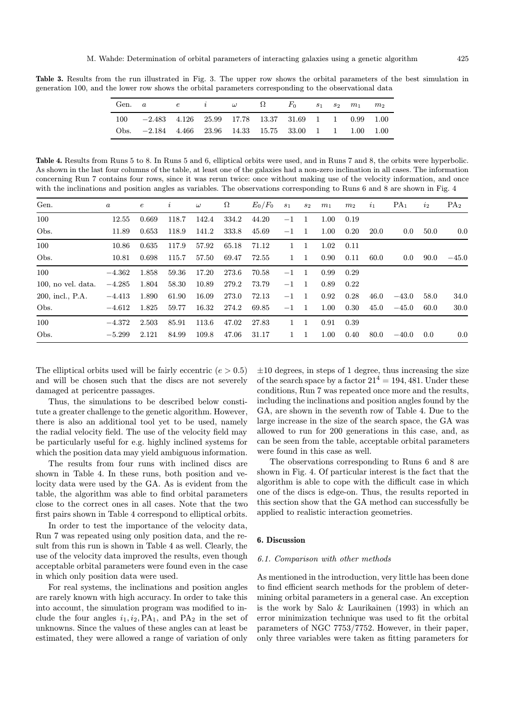Table 3. Results from the run illustrated in Fig. 3. The upper row shows the orbital parameters of the best simulation in generation 100, and the lower row shows the orbital parameters corresponding to the observational data

| Gen. $a$ e i $\omega$ $\Omega$ $F_0$ $s_1$ $s_2$ $m_1$  |  |  |  |  | $m_2$ |
|---------------------------------------------------------|--|--|--|--|-------|
| 100 -2.483 4.126 25.99 17.78 13.37 31.69 1 1 0.99 1.00  |  |  |  |  |       |
| Obs. -2.184 4.466 23.96 14.33 15.75 33.00 1 1 1.00 1.00 |  |  |  |  |       |

Table 4. Results from Runs 5 to 8. In Runs 5 and 6, elliptical orbits were used, and in Runs 7 and 8, the orbits were hyperbolic. As shown in the last four columns of the table, at least one of the galaxies had a non-zero inclination in all cases. The information concerning Run 7 contains four rows, since it was rerun twice: once without making use of the velocity information, and once with the inclinations and position angles as variables. The observations corresponding to Runs 6 and 8 are shown in Fig. 4

| Gen.                  | $\boldsymbol{a}$ | $\epsilon$ | i     | $\omega$ | $\Omega$ | $E_0/F_0$ | $s_1$        | $s_2$          | m <sub>1</sub> | m <sub>2</sub> | $\mathbf{v}_1$ | PA <sub>1</sub> | $i_2$ | PA <sub>2</sub> |
|-----------------------|------------------|------------|-------|----------|----------|-----------|--------------|----------------|----------------|----------------|----------------|-----------------|-------|-----------------|
| 100                   | 12.55            | 0.669      | 118.7 | 142.4    | 334.2    | 44.20     | $-1$         | -1             | 1.00           | 0.19           |                |                 |       |                 |
| Obs.                  | 11.89            | 0.653      | 118.9 | 141.2    | 333.8    | 45.69     | $-1$         | -1             | 1.00           | 0.20           | <b>20.0</b>    | 0.0             | 50.0  | 0.0             |
| 100                   | 10.86            | 0.635      | 117.9 | 57.92    | 65.18    | 71.12     | 1            |                | 1.02           | 0.11           |                |                 |       |                 |
| Obs.                  | 10.81            | 0.698      | 115.7 | 57.50    | 69.47    | 72.55     | $\mathbf{1}$ | -1             | 0.90           | 0.11           | 60.0           | 0.0             | 90.0  | $-45.0$         |
| 100                   | $-4.362$         | 1.858      | 59.36 | 17.20    | 273.6    | 70.58     | $-1$         | -1             | 0.99           | 0.29           |                |                 |       |                 |
| $100$ , no vel. data. | $-4.285$         | 1.804      | 58.30 | 10.89    | 279.2    | 73.79     | $-1$         | $\overline{1}$ | 0.89           | 0.22           |                |                 |       |                 |
| 200, incl., P.A.      | $-4.413$         | 1.890      | 61.90 | 16.09    | 273.0    | 72.13     | $-1$         | - 1            | 0.92           | 0.28           | 46.0           | $-43.0$         | 58.0  | 34.0            |
| Obs.                  | $-4.612$         | 1.825      | 59.77 | 16.32    | 274.2    | 69.85     | $-1$         | -1             | 1.00           | 0.30           | 45.0           | $-45.0$         | 60.0  | 30.0            |
| 100                   | $-4.372$         | 2.503      | 85.91 | 113.6    | 47.02    | 27.83     | 1            |                | 0.91           | 0.39           |                |                 |       |                 |
| Obs.                  | $-5.299$         | 2.121      | 84.99 | 109.8    | 47.06    | 31.17     | 1            |                | 1.00           | 0.40           | 80.0           | $-40.0$         | 0.0   | 0.0             |

The elliptical orbits used will be fairly eccentric  $(e > 0.5)$ and will be chosen such that the discs are not severely damaged at pericentre passages.

Thus, the simulations to be described below constitute a greater challenge to the genetic algorithm. However, there is also an additional tool yet to be used, namely the radial velocity field. The use of the velocity field may be particularly useful for e.g. highly inclined systems for which the position data may yield ambiguous information.

The results from four runs with inclined discs are shown in Table 4. In these runs, both position and velocity data were used by the GA. As is evident from the table, the algorithm was able to find orbital parameters close to the correct ones in all cases. Note that the two first pairs shown in Table 4 correspond to elliptical orbits.

In order to test the importance of the velocity data, Run 7 was repeated using only position data, and the result from this run is shown in Table 4 as well. Clearly, the use of the velocity data improved the results, even though acceptable orbital parameters were found even in the case in which only position data were used.

For real systems, the inclinations and position angles are rarely known with high accuracy. In order to take this into account, the simulation program was modified to include the four angles  $i_1, i_2, PA_1$ , and  $PA_2$  in the set of unknowns. Since the values of these angles can at least be estimated, they were allowed a range of variation of only

 $\pm 10$  degrees, in steps of 1 degree, thus increasing the size of the search space by a factor  $21^4 = 194,481$ . Under these conditions, Run 7 was repeated once more and the results, including the inclinations and position angles found by the GA, are shown in the seventh row of Table 4. Due to the large increase in the size of the search space, the GA was allowed to run for 200 generations in this case, and, as can be seen from the table, acceptable orbital parameters were found in this case as well.

The observations corresponding to Runs 6 and 8 are shown in Fig. 4. Of particular interest is the fact that the algorithm is able to cope with the difficult case in which one of the discs is edge-on. Thus, the results reported in this section show that the GA method can successfully be applied to realistic interaction geometries.

# 6. Discussion

#### 6.1. Comparison with other methods

As mentioned in the introduction, very little has been done to find efficient search methods for the problem of determining orbital parameters in a general case. An exception is the work by Salo & Laurikainen (1993) in which an error minimization technique was used to fit the orbital parameters of NGC 7753/7752. However, in their paper, only three variables were taken as fitting parameters for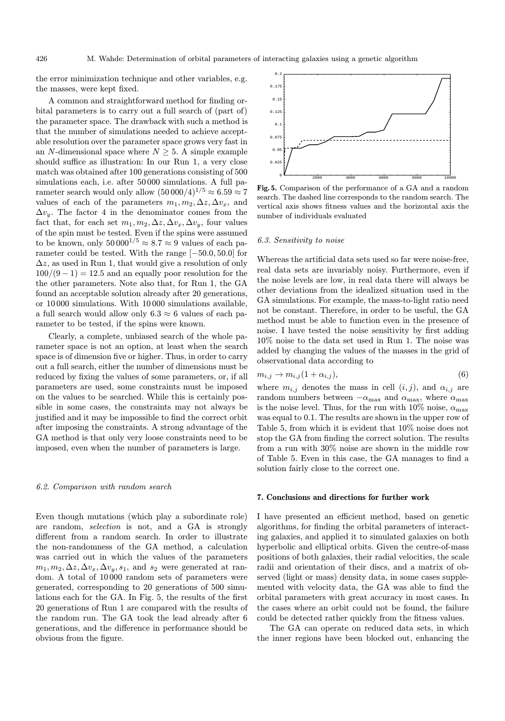the error minimization technique and other variables, e.g. the masses, were kept fixed.

A common and straightforward method for finding orbital parameters is to carry out a full search of (part of) the parameter space. The drawback with such a method is that the number of simulations needed to achieve acceptable resolution over the parameter space grows very fast in an N-dimensional space where  $N \geq 5$ . A simple example should suffice as illustration: In our Run 1, a very close match was obtained after 100 generations consisting of 500 simulations each, i.e. after 50000 simulations. A full parameter search would only allow  $(50000/4)^{1/5} \approx 6.59 \approx 7$ values of each of the parameters  $m_1, m_2, \Delta z, \Delta v_x$ , and  $\Delta v_y$ . The factor 4 in the denominator comes from the fact that, for each set  $m_1, m_2, \Delta z, \Delta v_x, \Delta v_y$ , four values of the spin must be tested. Even if the spins were assumed to be known, only  $50000^{1/5} \approx 8.7 \approx 9$  values of each parameter could be tested. With the range [−50.0, 50.0] for  $\Delta z$ , as used in Run 1, that would give a resolution of only  $100/(9-1) = 12.5$  and an equally poor resolution for the the other parameters. Note also that, for Run 1, the GA found an acceptable solution already after 20 generations, or 10 000 simulations. With 10 000 simulations available, a full search would allow only  $6.3 \approx 6$  values of each parameter to be tested, if the spins were known.

Clearly, a complete, unbiased search of the whole parameter space is not an option, at least when the search space is of dimension five or higher. Thus, in order to carry out a full search, either the number of dimensions must be reduced by fixing the values of some parameters, or, if all parameters are used, some constraints must be imposed on the values to be searched. While this is certainly possible in some cases, the constraints may not always be justified and it may be impossible to find the correct orbit after imposing the constraints. A strong advantage of the GA method is that only very loose constraints need to be imposed, even when the number of parameters is large.

#### 6.2. Comparison with random search

Even though mutations (which play a subordinate role) are random, selection is not, and a GA is strongly different from a random search. In order to illustrate the non-randomness of the GA method, a calculation was carried out in which the values of the parameters  $m_1, m_2, \Delta z, \Delta v_x, \Delta v_y, s_1$ , and  $s_2$  were generated at random. A total of 10 000 random sets of parameters were generated, corresponding to 20 generations of 500 simulations each for the GA. In Fig. 5, the results of the first 20 generations of Run 1 are compared with the results of the random run. The GA took the lead already after 6 generations, and the difference in performance should be obvious from the figure.



Fig. 5. Comparison of the performance of a GA and a random search. The dashed line corresponds to the random search. The vertical axis shows fitness values and the horizontal axis the number of individuals evaluated

#### 6.3. Sensitivity to noise

Whereas the artificial data sets used so far were noise-free, real data sets are invariably noisy. Furthermore, even if the noise levels are low, in real data there will always be other deviations from the idealized situation used in the GA simulations. For example, the mass-to-light ratio need not be constant. Therefore, in order to be useful, the GA method must be able to function even in the presence of noise. I have tested the noise sensitivity by first adding 10% noise to the data set used in Run 1. The noise was added by changing the values of the masses in the grid of observational data according to

$$
m_{i,j} \to m_{i,j}(1+\alpha_{i,j}),\tag{6}
$$

where  $m_{i,j}$  denotes the mass in cell  $(i, j)$ , and  $\alpha_{i,j}$  are random numbers between  $-\alpha_{\text{max}}$  and  $\alpha_{\text{max}}$ , where  $\alpha_{\text{max}}$ is the noise level. Thus, for the run with 10% noise,  $\alpha_{\text{max}}$ was equal to 0.1. The results are shown in the upper row of Table 5, from which it is evident that 10% noise does not stop the GA from finding the correct solution. The results from a run with 30% noise are shown in the middle row of Table 5. Even in this case, the GA manages to find a solution fairly close to the correct one.

# 7. Conclusions and directions for further work

I have presented an efficient method, based on genetic algorithms, for finding the orbital parameters of interacting galaxies, and applied it to simulated galaxies on both hyperbolic and elliptical orbits. Given the centre-of-mass positions of both galaxies, their radial velocities, the scale radii and orientation of their discs, and a matrix of observed (light or mass) density data, in some cases supplemented with velocity data, the GA was able to find the orbital parameters with great accuracy in most cases. In the cases where an orbit could not be found, the failure could be detected rather quickly from the fitness values.

The GA can operate on reduced data sets, in which the inner regions have been blocked out, enhancing the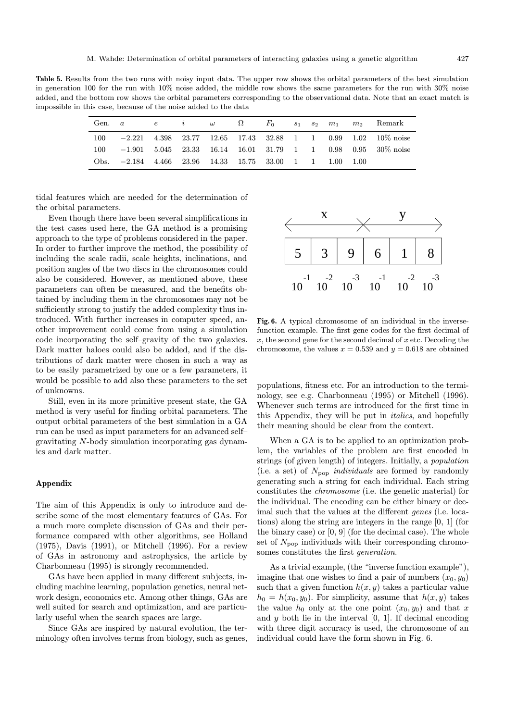Table 5. Results from the two runs with noisy input data. The upper row shows the orbital parameters of the best simulation in generation 100 for the run with 10% noise added, the middle row shows the same parameters for the run with 30% noise added, and the bottom row shows the orbital parameters corresponding to the observational data. Note that an exact match is impossible in this case, because of the noise added to the data

|      | Gen. $a$                                             |  |  | $e \qquad i \qquad \omega \qquad \Omega \qquad F_0 \qquad s_1 \quad s_2 \quad m_1$ |  |  | $m_2$ Remark                                                   |
|------|------------------------------------------------------|--|--|------------------------------------------------------------------------------------|--|--|----------------------------------------------------------------|
| 100  |                                                      |  |  |                                                                                    |  |  | $-2.221$ 4.398 23.77 12.65 17.43 32.88 1 1 0.99 1.02 10% noise |
| 100  |                                                      |  |  |                                                                                    |  |  | $-1.901$ 5.045 23.33 16.14 16.01 31.79 1 1 0.98 0.95 30% noise |
| Obs. | $-2.184$ 4.466 23.96 14.33 15.75 33.00 1 1 1.00 1.00 |  |  |                                                                                    |  |  |                                                                |

tidal features which are needed for the determination of the orbital parameters.

Even though there have been several simplifications in the test cases used here, the GA method is a promising approach to the type of problems considered in the paper. In order to further improve the method, the possibility of including the scale radii, scale heights, inclinations, and position angles of the two discs in the chromosomes could also be considered. However, as mentioned above, these parameters can often be measured, and the benefits obtained by including them in the chromosomes may not be sufficiently strong to justify the added complexity thus introduced. With further increases in computer speed, another improvement could come from using a simulation code incorporating the self–gravity of the two galaxies. Dark matter haloes could also be added, and if the distributions of dark matter were chosen in such a way as to be easily parametrized by one or a few parameters, it would be possible to add also these parameters to the set of unknowns.

Still, even in its more primitive present state, the GA method is very useful for finding orbital parameters. The output orbital parameters of the best simulation in a GA run can be used as input parameters for an advanced self– gravitating N-body simulation incorporating gas dynamics and dark matter.

# Appendix

The aim of this Appendix is only to introduce and describe some of the most elementary features of GAs. For a much more complete discussion of GAs and their performance compared with other algorithms, see Holland (1975), Davis (1991), or Mitchell (1996). For a review of GAs in astronomy and astrophysics, the article by Charbonneau (1995) is strongly recommended.

GAs have been applied in many different subjects, including machine learning, population genetics, neural network design, economics etc. Among other things, GAs are well suited for search and optimization, and are particularly useful when the search spaces are large.

Since GAs are inspired by natural evolution, the terminology often involves terms from biology, such as genes,



Fig. 6. A typical chromosome of an individual in the inversefunction example. The first gene codes for the first decimal of  $x$ , the second gene for the second decimal of  $x$  etc. Decoding the chromosome, the values  $x = 0.539$  and  $y = 0.618$  are obtained

populations, fitness etc. For an introduction to the terminology, see e.g. Charbonneau (1995) or Mitchell (1996). Whenever such terms are introduced for the first time in this Appendix, they will be put in italics, and hopefully their meaning should be clear from the context.

When a GA is to be applied to an optimization problem, the variables of the problem are first encoded in strings (of given length) of integers. Initially, a population (i.e. a set) of  $N_{\text{pop}}$  *individuals* are formed by randomly generating such a string for each individual. Each string constitutes the chromosome (i.e. the genetic material) for the individual. The encoding can be either binary or decimal such that the values at the different *genes* (i.e. locations) along the string are integers in the range [0, 1] (for the binary case) or [0, 9] (for the decimal case). The whole set of  $N_{\text{pop}}$  individuals with their corresponding chromosomes constitutes the first generation.

As a trivial example, (the "inverse function example"), imagine that one wishes to find a pair of numbers  $(x_0, y_0)$ such that a given function  $h(x, y)$  takes a particular value  $h_0 = h(x_0, y_0)$ . For simplicity, assume that  $h(x, y)$  takes the value  $h_0$  only at the one point  $(x_0, y_0)$  and that x and  $y$  both lie in the interval  $[0, 1]$ . If decimal encoding with three digit accuracy is used, the chromosome of an individual could have the form shown in Fig. 6.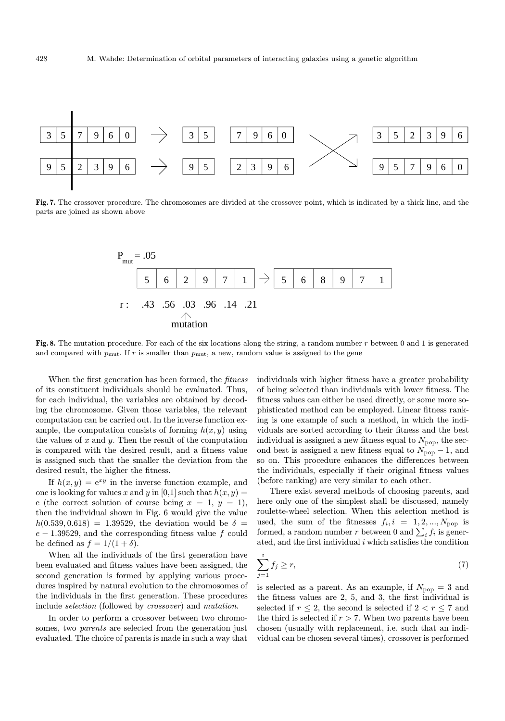

Fig. 7. The crossover procedure. The chromosomes are divided at the crossover point, which is indicated by a thick line, and the parts are joined as shown above



Fig. 8. The mutation procedure. For each of the six locations along the string, a random number  $r$  between 0 and 1 is generated and compared with  $p_{\text{mut}}$ . If r is smaller than  $p_{\text{mut}}$ , a new, random value is assigned to the gene

When the first generation has been formed, the *fitness* of its constituent individuals should be evaluated. Thus, for each individual, the variables are obtained by decoding the chromosome. Given those variables, the relevant computation can be carried out. In the inverse function example, the computation consists of forming  $h(x, y)$  using the values of  $x$  and  $y$ . Then the result of the computation is compared with the desired result, and a fitness value is assigned such that the smaller the deviation from the desired result, the higher the fitness.

If  $h(x, y) = e^{xy}$  in the inverse function example, and one is looking for values x and y in [0,1] such that  $h(x, y) =$ e (the correct solution of course being  $x = 1, y = 1$ ), then the individual shown in Fig. 6 would give the value  $h(0.539, 0.618) = 1.39529$ , the deviation would be  $\delta =$  $e - 1.39529$ , and the corresponding fitness value f could be defined as  $f = 1/(1+\delta)$ .

When all the individuals of the first generation have been evaluated and fitness values have been assigned, the second generation is formed by applying various procedures inspired by natural evolution to the chromosomes of the individuals in the first generation. These procedures include selection (followed by crossover) and mutation.

In order to perform a crossover between two chromosomes, two *parents* are selected from the generation just evaluated. The choice of parents is made in such a way that individuals with higher fitness have a greater probability of being selected than individuals with lower fitness. The fitness values can either be used directly, or some more sophisticated method can be employed. Linear fitness ranking is one example of such a method, in which the individuals are sorted according to their fitness and the best individual is assigned a new fitness equal to  $N_{\text{pop}}$ , the second best is assigned a new fitness equal to  $N_{\text{pop}}-1$ , and so on. This procedure enhances the differences between the individuals, especially if their original fitness values (before ranking) are very similar to each other.

There exist several methods of choosing parents, and here only one of the simplest shall be discussed, namely roulette-wheel selection. When this selection method is used, the sum of the fitnesses  $f_i, i = 1, 2, ..., N_{pop}$  is formed, a random number r between 0 and  $\sum_i f_i$  is generated, and the first individual  $i$  which satisfies the condition

$$
\sum_{j=1}^{i} f_j \ge r,\tag{7}
$$

is selected as a parent. As an example, if  $N_{\text{pop}} = 3$  and the fitness values are 2, 5, and 3, the first individual is selected if  $r \leq 2$ , the second is selected if  $2 < r \leq 7$  and the third is selected if  $r > 7$ . When two parents have been chosen (usually with replacement, i.e. such that an individual can be chosen several times), crossover is performed